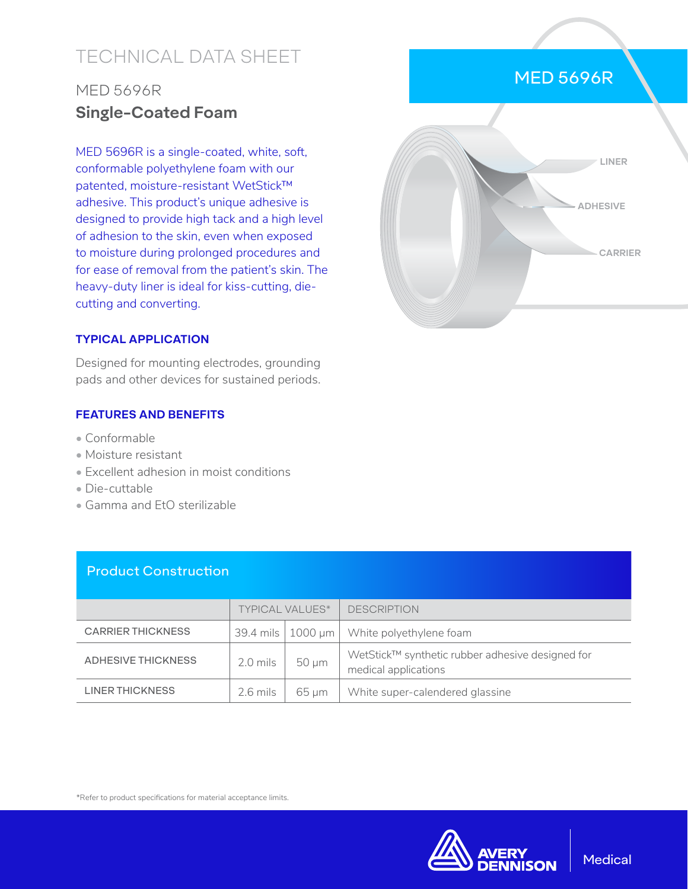# TECHNICAL DATA SHEET

# MED 5696R **Single-Coated Foam**

MED 5696R is a single-coated, white, soft, conformable polyethylene foam with our patented, moisture-resistant WetStick™ adhesive. This product's unique adhesive is designed to provide high tack and a high level of adhesion to the skin, even when exposed to moisture during prolonged procedures and for ease of removal from the patient's skin. The heavy-duty liner is ideal for kiss-cutting, diecutting and converting.

## **TYPICAL APPLICATION**

Designed for mounting electrodes, grounding pads and other devices for sustained periods.

### **FEATURES AND BENEFITS**

- Conformable
- Moisture resistant
- Excellent adhesion in moist conditions
- Die-cuttable
- Gamma and EtO sterilizable

| <b>Product Construction</b> |                        |              |                                                                          |  |  |  |
|-----------------------------|------------------------|--------------|--------------------------------------------------------------------------|--|--|--|
|                             | <b>TYPICAL VALUES*</b> |              | <b>DESCRIPTION</b>                                                       |  |  |  |
| <b>CARRIER THICKNESS</b>    | 39.4 mils              | $1000 \mu m$ | White polyethylene foam                                                  |  |  |  |
| <b>ADHESIVE THICKNESS</b>   | 2.0 mils               | 50 µm        | WetStick™ synthetic rubber adhesive designed for<br>medical applications |  |  |  |
| LINER THICKNESS             | 2.6 mils               | 65 µm        | White super-calendered glassine                                          |  |  |  |

\*Refer to product specifications for material acceptance limits.



# MED 5696R